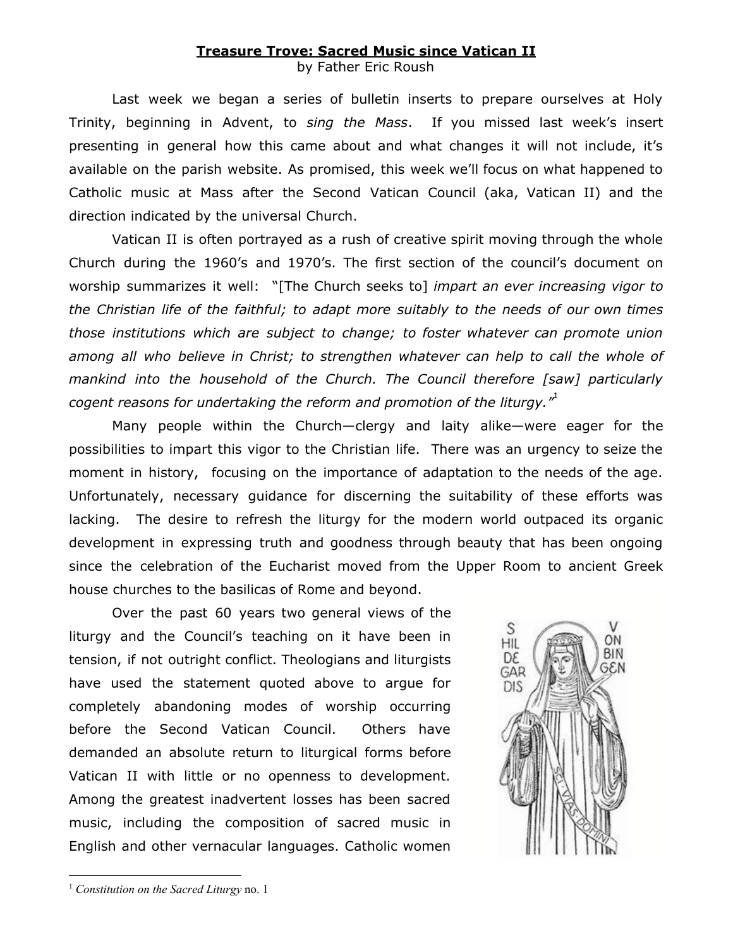## **Treasure Trove: Sacred Music since Vatican II**

by Father Eric Roush

Last week we began a series of bulletin inserts to prepare ourselves at Holy Trinity, beginning in Advent, to *sing the Mass*. If you missed last week's insert presenting in general how this came about and what changes it will not include, it's available on the parish website. As promised, this week we'll focus on what happened to Catholic music at Mass after the Second Vatican Council (aka, Vatican II) and the direction indicated by the universal Church.

Vatican II is often portrayed as a rush of creative spirit moving through the whole Church during the 1960's and 1970's. The first section of the council's document on worship summarizes it well: "[The Church seeks to] *impart an ever increasing vigor to the Christian life of the faithful; to adapt more suitably to the needs of our own times those institutions which are subject to change; to foster whatever can promote union among all who believe in Christ; to strengthen whatever can help to call the whole of mankind into the household of the Church. The Council therefore [saw] particularly cogent reasons for undertaking the reform and promotion of the liturgy."* 1

Many people within the Church—clergy and laity alike—were eager for the possibilities to impart this vigor to the Christian life. There was an urgency to seize the moment in history, focusing on the importance of adaptation to the needs of the age. Unfortunately, necessary guidance for discerning the suitability of these efforts was lacking. The desire to refresh the liturgy for the modern world outpaced its organic development in expressing truth and goodness through beauty that has been ongoing since the celebration of the Eucharist moved from the Upper Room to ancient Greek house churches to the basilicas of Rome and beyond.

Over the past 60 years two general views of the liturgy and the Council's teaching on it have been in tension, if not outright conflict. Theologians and liturgists have used the statement quoted above to argue for completely abandoning modes of worship occurring before the Second Vatican Council. Others have demanded an absolute return to liturgical forms before Vatican II with little or no openness to development. Among the greatest inadvertent losses has been sacred music, including the composition of sacred music in English and other vernacular languages. Catholic women



<sup>1</sup> *Constitution on the Sacred Liturgy* no. 1